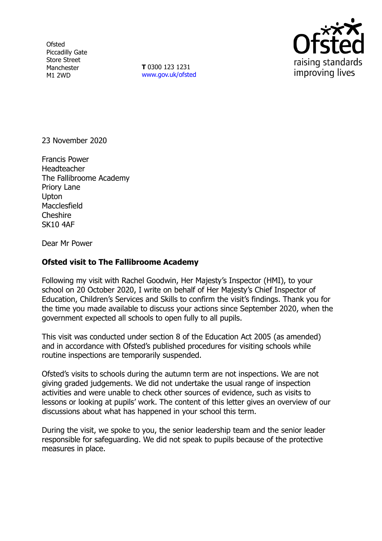**Ofsted** Piccadilly Gate Store Street Manchester M1 2WD

**T** 0300 123 1231 [www.gov.uk/ofsted](http://www.gov.uk/ofsted)



23 November 2020

Francis Power Headteacher The Fallibroome Academy Priory Lane **Upton Macclesfield** Cheshire SK10 4AF

Dear Mr Power

## **Ofsted visit to The Fallibroome Academy**

Following my visit with Rachel Goodwin, Her Majesty's Inspector (HMI), to your school on 20 October 2020, I write on behalf of Her Majesty's Chief Inspector of Education, Children's Services and Skills to confirm the visit's findings. Thank you for the time you made available to discuss your actions since September 2020, when the government expected all schools to open fully to all pupils.

This visit was conducted under section 8 of the Education Act 2005 (as amended) and in accordance with Ofsted's published procedures for visiting schools while routine inspections are temporarily suspended.

Ofsted's visits to schools during the autumn term are not inspections. We are not giving graded judgements. We did not undertake the usual range of inspection activities and were unable to check other sources of evidence, such as visits to lessons or looking at pupils' work. The content of this letter gives an overview of our discussions about what has happened in your school this term.

During the visit, we spoke to you, the senior leadership team and the senior leader responsible for safeguarding. We did not speak to pupils because of the protective measures in place.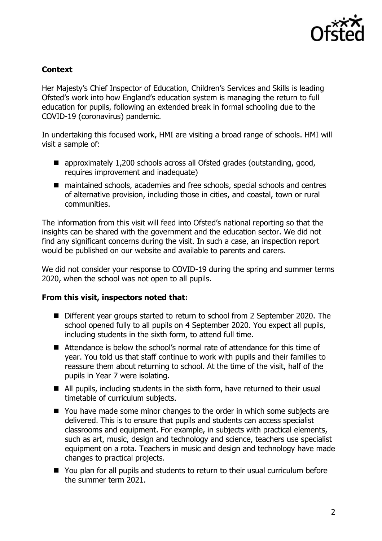

## **Context**

Her Majesty's Chief Inspector of Education, Children's Services and Skills is leading Ofsted's work into how England's education system is managing the return to full education for pupils, following an extended break in formal schooling due to the COVID-19 (coronavirus) pandemic.

In undertaking this focused work, HMI are visiting a broad range of schools. HMI will visit a sample of:

- approximately 1,200 schools across all Ofsted grades (outstanding, good, requires improvement and inadequate)
- maintained schools, academies and free schools, special schools and centres of alternative provision, including those in cities, and coastal, town or rural communities.

The information from this visit will feed into Ofsted's national reporting so that the insights can be shared with the government and the education sector. We did not find any significant concerns during the visit. In such a case, an inspection report would be published on our website and available to parents and carers.

We did not consider your response to COVID-19 during the spring and summer terms 2020, when the school was not open to all pupils.

## **From this visit, inspectors noted that:**

- Different year groups started to return to school from 2 September 2020. The school opened fully to all pupils on 4 September 2020. You expect all pupils, including students in the sixth form, to attend full time.
- Attendance is below the school's normal rate of attendance for this time of year. You told us that staff continue to work with pupils and their families to reassure them about returning to school. At the time of the visit, half of the pupils in Year 7 were isolating.
- All pupils, including students in the sixth form, have returned to their usual timetable of curriculum subjects.
- You have made some minor changes to the order in which some subjects are delivered. This is to ensure that pupils and students can access specialist classrooms and equipment. For example, in subjects with practical elements, such as art, music, design and technology and science, teachers use specialist equipment on a rota. Teachers in music and design and technology have made changes to practical projects.
- You plan for all pupils and students to return to their usual curriculum before the summer term 2021.